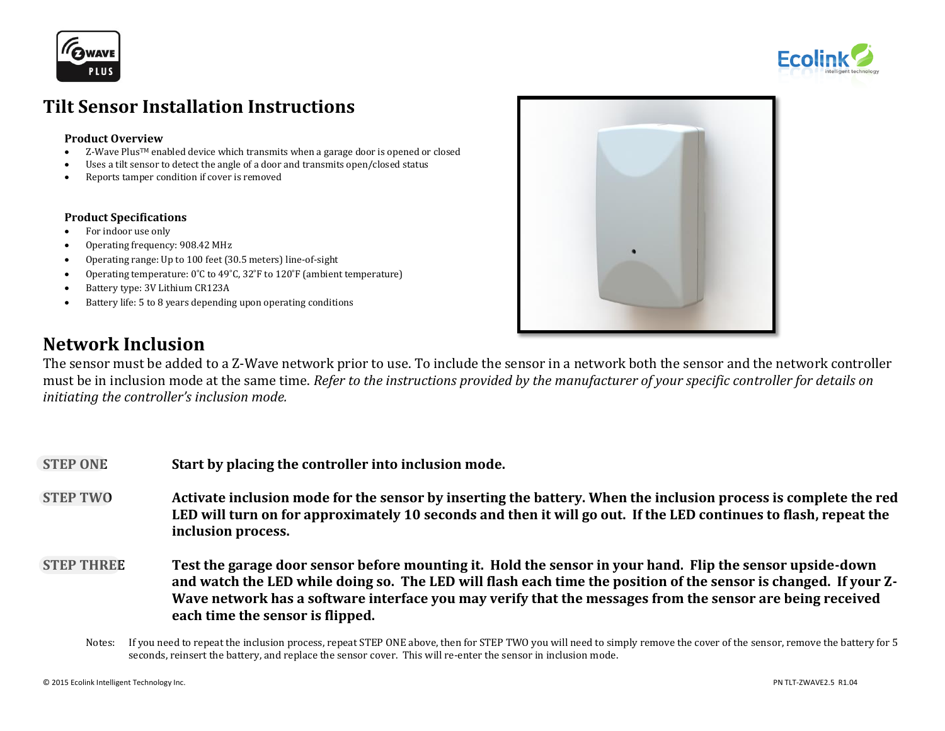



# **Tilt Sensor Installation Instructions**

#### **Product Overview**

- Z-Wave PlusTM enabled device which transmits when a garage door is opened or closed
- Uses a tilt sensor to detect the angle of a door and transmits open/closed status
- Reports tamper condition if cover is removed

#### **Product Specifications**

- For indoor use only
- Operating frequency: 908.42 MHz
- Operating range: Up to 100 feet (30.5 meters) line-of-sight
- Operating temperature: 0˚C to 49˚C, 32˚F to 120˚F (ambient temperature)
- Battery type: 3V Lithium CR123A
- Battery life: 5 to 8 years depending upon operating conditions



# **Network Inclusion**

The sensor must be added to a Z-Wave network prior to use. To include the sensor in a network both the sensor and the network controller must be in inclusion mode at the same time. *Refer to the instructions provided by the manufacturer of your specific controller for details on initiating the controller's inclusion mode.*

- **STEP ONE Start by placing the controller into inclusion mode.**
- **STEP TWO Activate inclusion mode for the sensor by inserting the battery. When the inclusion process is complete the red LED will turn on for approximately 10 seconds and then it will go out. If the LED continues to flash, repeat the inclusion process.**
- **STEP THREE Test the garage door sensor before mounting it. Hold the sensor in your hand. Flip the sensor upside-down and watch the LED while doing so. The LED will flash each time the position of the sensor is changed. If your Z-Wave network has a software interface you may verify that the messages from the sensor are being received each time the sensor is flipped.** 
	- Notes: If you need to repeat the inclusion process, repeat STEP ONE above, then for STEP TWO you will need to simply remove the cover of the sensor, remove the battery for 5 seconds, reinsert the battery, and replace the sensor cover. This will re-enter the sensor in inclusion mode.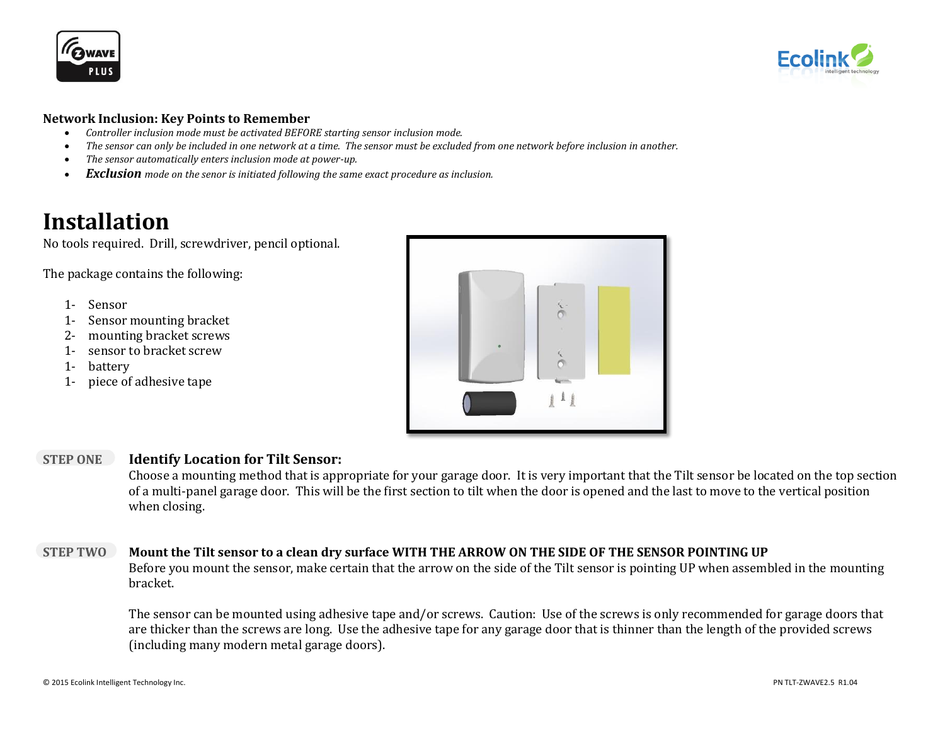**FAWAVI** PLUS



## **Network Inclusion: Key Points to Remember**

- *Controller inclusion mode must be activated BEFORE starting sensor inclusion mode.*
- *The sensor can only be included in one network at a time. The sensor must be excluded from one network before inclusion in another.*
- *The sensor automatically enters inclusion mode at power-up.*
- *Exclusion mode on the senor is initiated following the same exact procedure as inclusion.*

# **Installation**

No tools required. Drill, screwdriver, pencil optional.

The package contains the following:

- 1- Sensor
- 1- Sensor mounting bracket
- 2- mounting bracket screws
- 1- sensor to bracket screw
- 1- battery
- 1- piece of adhesive tape



## **STEP ONE Identify Location for Tilt Sensor:**

Choose a mounting method that is appropriate for your garage door. It is very important that the Tilt sensor be located on the top section of a multi-panel garage door. This will be the first section to tilt when the door is opened and the last to move to the vertical position when closing.

# **STEP TWO Mount the Tilt sensor to a clean dry surface WITH THE ARROW ON THE SIDE OF THE SENSOR POINTING UP**

Before you mount the sensor, make certain that the arrow on the side of the Tilt sensor is pointing UP when assembled in the mounting bracket.

The sensor can be mounted using adhesive tape and/or screws. Caution: Use of the screws is only recommended for garage doors that are thicker than the screws are long. Use the adhesive tape for any garage door that is thinner than the length of the provided screws (including many modern metal garage doors).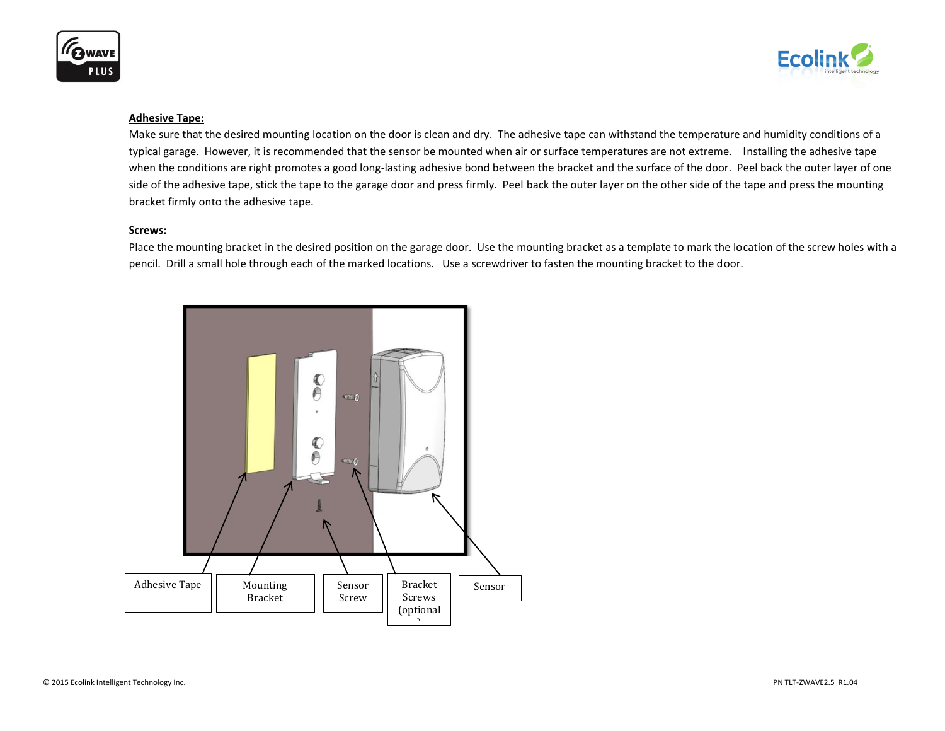



#### **Adhesive Tape:**

Make sure that the desired mounting location on the door is clean and dry. The adhesive tape can withstand the temperature and humidity conditions of a typical garage. However, it is recommended that the sensor be mounted when air or surface temperatures are not extreme. Installing the adhesive tape when the conditions are right promotes a good long-lasting adhesive bond between the bracket and the surface of the door. Peel back the outer layer of one side of the adhesive tape, stick the tape to the garage door and press firmly. Peel back the outer layer on the other side of the tape and press the mounting bracket firmly onto the adhesive tape.

#### **Screws:**

Place the mounting bracket in the desired position on the garage door. Use the mounting bracket as a template to mark the location of the screw holes with a pencil. Drill a small hole through each of the marked locations. Use a screwdriver to fasten the mounting bracket to the door.

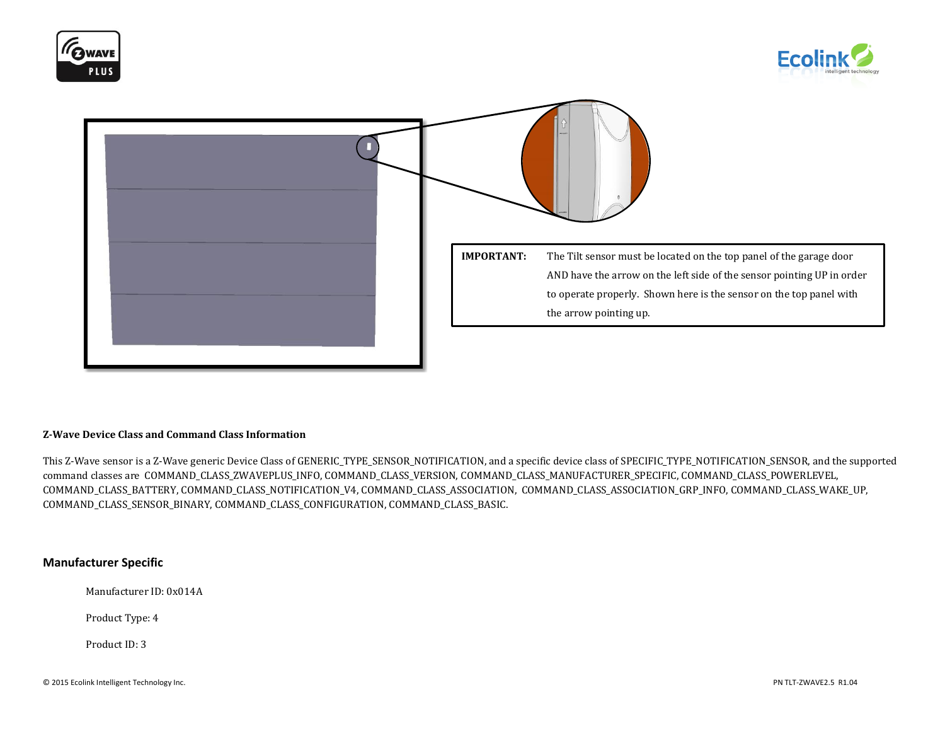





#### **Z-Wave Device Class and Command Class Information**

This Z-Wave sensor is a Z-Wave generic Device Class of GENERIC\_TYPE\_SENSOR\_NOTIFICATION, and a specific device class of SPECIFIC\_TYPE\_NOTIFICATION\_SENSOR, and the supported command classes are COMMAND\_CLASS\_ZWAVEPLUS\_INFO, COMMAND\_CLASS\_VERSION, COMMAND\_CLASS\_MANUFACTURER\_SPECIFIC, COMMAND\_CLASS\_POWERLEVEL, COMMAND\_CLASS\_BATTERY, COMMAND\_CLASS\_NOTIFICATION\_V4, COMMAND\_CLASS\_ASSOCIATION, COMMAND\_CLASS\_ASSOCIATION\_GRP\_INFO, COMMAND\_CLASS\_WAKE\_UP, COMMAND\_CLASS\_SENSOR\_BINARY, COMMAND\_CLASS\_CONFIGURATION, COMMAND\_CLASS\_BASIC.

#### **Manufacturer Specific**

Manufacturer ID: 0x014A

Product Type: 4

Product ID: 3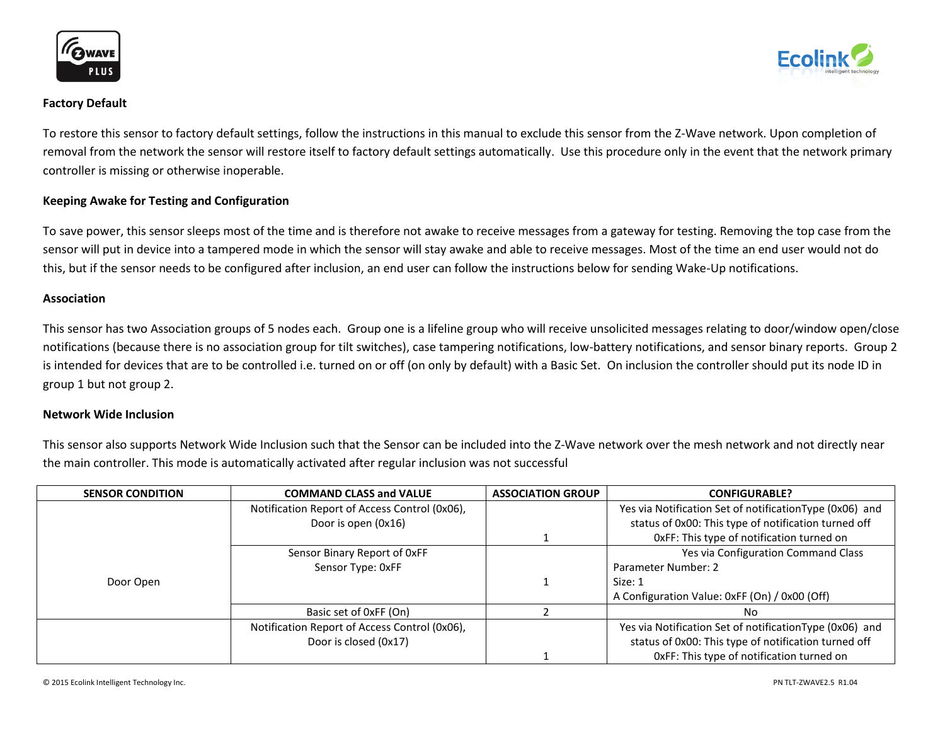





To restore this sensor to factory default settings, follow the instructions in this manual to exclude this sensor from the Z-Wave network. Upon completion of removal from the network the sensor will restore itself to factory default settings automatically. Use this procedure only in the event that the network primary controller is missing or otherwise inoperable.

## **Keeping Awake for Testing and Configuration**

To save power, this sensor sleeps most of the time and is therefore not awake to receive messages from a gateway for testing. Removing the top case from the sensor will put in device into a tampered mode in which the sensor will stay awake and able to receive messages. Most of the time an end user would not do this, but if the sensor needs to be configured after inclusion, an end user can follow the instructions below for sending Wake-Up notifications.

#### **Association**

This sensor has two Association groups of 5 nodes each. Group one is a lifeline group who will receive unsolicited messages relating to door/window open/close notifications (because there is no association group for tilt switches), case tampering notifications, low-battery notifications, and sensor binary reports. Group 2 is intended for devices that are to be controlled i.e. turned on or off (on only by default) with a Basic Set. On inclusion the controller should put its node ID in group 1 but not group 2.

#### **Network Wide Inclusion**

This sensor also supports Network Wide Inclusion such that the Sensor can be included into the Z-Wave network over the mesh network and not directly near the main controller. This mode is automatically activated after regular inclusion was not successful

| <b>SENSOR CONDITION</b> | <b>COMMAND CLASS and VALUE</b>                | <b>ASSOCIATION GROUP</b> | <b>CONFIGURABLE?</b>                                     |
|-------------------------|-----------------------------------------------|--------------------------|----------------------------------------------------------|
|                         | Notification Report of Access Control (0x06), |                          | Yes via Notification Set of notification Type (0x06) and |
|                         | Door is open (0x16)                           |                          | status of 0x00: This type of notification turned off     |
|                         |                                               |                          | OxFF: This type of notification turned on                |
|                         | Sensor Binary Report of OxFF                  |                          | Yes via Configuration Command Class                      |
|                         | Sensor Type: 0xFF                             |                          | Parameter Number: 2                                      |
| Door Open               |                                               |                          | Size: 1                                                  |
|                         |                                               |                          | A Configuration Value: 0xFF (On) / 0x00 (Off)            |
|                         | Basic set of 0xFF (On)                        |                          | No.                                                      |
|                         | Notification Report of Access Control (0x06), |                          | Yes via Notification Set of notification Type (0x06) and |
|                         | Door is closed (0x17)                         |                          | status of 0x00: This type of notification turned off     |
|                         |                                               |                          | OxFF: This type of notification turned on                |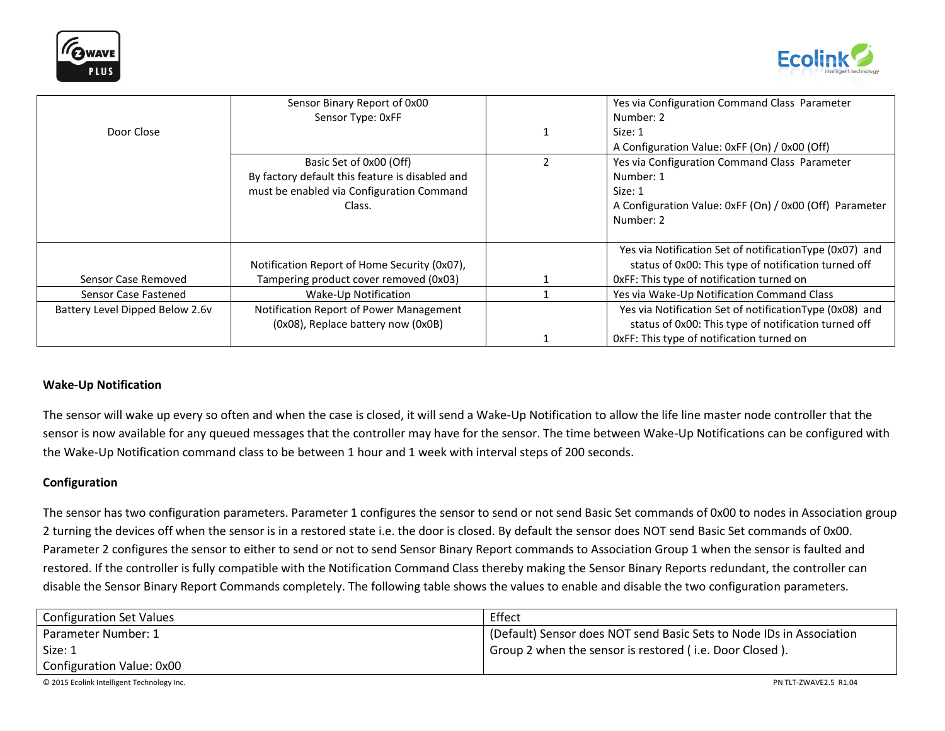



|                                 | Sensor Binary Report of 0x00                    | Yes via Configuration Command Class Parameter            |
|---------------------------------|-------------------------------------------------|----------------------------------------------------------|
|                                 | Sensor Type: 0xFF                               | Number: 2                                                |
| Door Close                      |                                                 | Size: 1                                                  |
|                                 |                                                 | A Configuration Value: 0xFF (On) / 0x00 (Off)            |
|                                 | Basic Set of 0x00 (Off)                         | Yes via Configuration Command Class Parameter            |
|                                 | By factory default this feature is disabled and | Number: 1                                                |
|                                 | must be enabled via Configuration Command       | Size: 1                                                  |
|                                 | Class.                                          | A Configuration Value: 0xFF (On) / 0x00 (Off) Parameter  |
|                                 |                                                 | Number: 2                                                |
|                                 |                                                 |                                                          |
|                                 |                                                 | Yes via Notification Set of notification Type (0x07) and |
|                                 | Notification Report of Home Security (0x07),    | status of 0x00: This type of notification turned off     |
| Sensor Case Removed             | Tampering product cover removed (0x03)          | OxFF: This type of notification turned on                |
| Sensor Case Fastened            | Wake-Up Notification                            | Yes via Wake-Up Notification Command Class               |
| Battery Level Dipped Below 2.6v | Notification Report of Power Management         | Yes via Notification Set of notification Type (0x08) and |
|                                 | (0x08), Replace battery now (0x0B)              | status of 0x00: This type of notification turned off     |
|                                 |                                                 | OxFF: This type of notification turned on                |

## **Wake-Up Notification**

The sensor will wake up every so often and when the case is closed, it will send a Wake-Up Notification to allow the life line master node controller that the sensor is now available for any queued messages that the controller may have for the sensor. The time between Wake-Up Notifications can be configured with the Wake-Up Notification command class to be between 1 hour and 1 week with interval steps of 200 seconds.

#### **Configuration**

The sensor has two configuration parameters. Parameter 1 configures the sensor to send or not send Basic Set commands of 0x00 to nodes in Association group 2 turning the devices off when the sensor is in a restored state i.e. the door is closed. By default the sensor does NOT send Basic Set commands of 0x00. Parameter 2 configures the sensor to either to send or not to send Sensor Binary Report commands to Association Group 1 when the sensor is faulted and restored. If the controller is fully compatible with the Notification Command Class thereby making the Sensor Binary Reports redundant, the controller can disable the Sensor Binary Report Commands completely. The following table shows the values to enable and disable the two configuration parameters.

| <b>Configuration Set Values</b> | Effect                                                               |
|---------------------------------|----------------------------------------------------------------------|
| Parameter Number: 1             | (Default) Sensor does NOT send Basic Sets to Node IDs in Association |
| Size: 1                         | Group 2 when the sensor is restored (i.e. Door Closed).              |
| Configuration Value: 0x00       |                                                                      |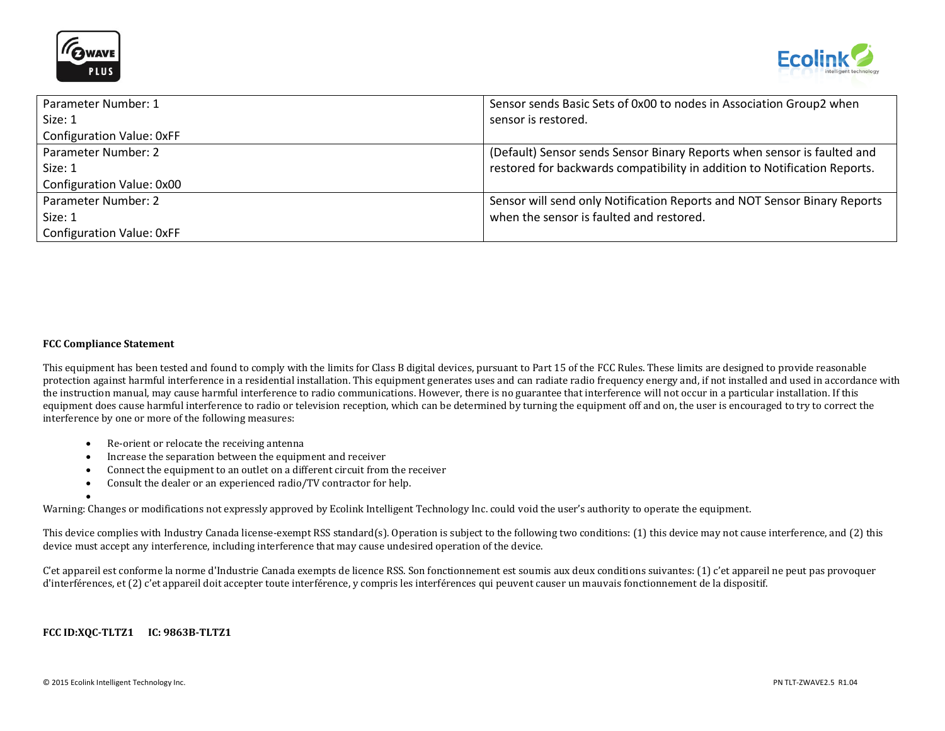



| Parameter Number: 1       | Sensor sends Basic Sets of 0x00 to nodes in Association Group2 when       |
|---------------------------|---------------------------------------------------------------------------|
| Size: 1                   | sensor is restored.                                                       |
| Configuration Value: 0xFF |                                                                           |
| Parameter Number: 2       | (Default) Sensor sends Sensor Binary Reports when sensor is faulted and   |
| Size: 1                   | restored for backwards compatibility in addition to Notification Reports. |
| Configuration Value: 0x00 |                                                                           |
| Parameter Number: 2       | Sensor will send only Notification Reports and NOT Sensor Binary Reports  |
| Size: 1                   | when the sensor is faulted and restored.                                  |
| Configuration Value: 0xFF |                                                                           |

#### **FCC Compliance Statement**

 $\bullet$ 

This equipment has been tested and found to comply with the limits for Class B digital devices, pursuant to Part 15 of the FCC Rules. These limits are designed to provide reasonable protection against harmful interference in a residential installation. This equipment generates uses and can radiate radio frequency energy and, if not installed and used in accordance with the instruction manual, may cause harmful interference to radio communications. However, there is no guarantee that interference will not occur in a particular installation. If this equipment does cause harmful interference to radio or television reception, which can be determined by turning the equipment off and on, the user is encouraged to try to correct the interference by one or more of the following measures:

- Re-orient or relocate the receiving antenna
- Increase the separation between the equipment and receiver
- Connect the equipment to an outlet on a different circuit from the receiver
- Consult the dealer or an experienced radio/TV contractor for help.

Warning: Changes or modifications not expressly approved by Ecolink Intelligent Technology Inc. could void the user's authority to operate the equipment.

This device complies with Industry Canada license-exempt RSS standard(s). Operation is subject to the following two conditions: (1) this device may not cause interference, and (2) this device must accept any interference, including interference that may cause undesired operation of the device.

C'et appareil est conforme la norme d'Industrie Canada exempts de licence RSS. Son fonctionnement est soumis aux deux conditions suivantes: (1) c'et appareil ne peut pas provoquer d'interférences, et (2) c'et appareil doit accepter toute interférence, y compris les interférences qui peuvent causer un mauvais fonctionnement de la dispositif.

#### **FCC ID:XQC-TLTZ1 IC: 9863B-TLTZ1**